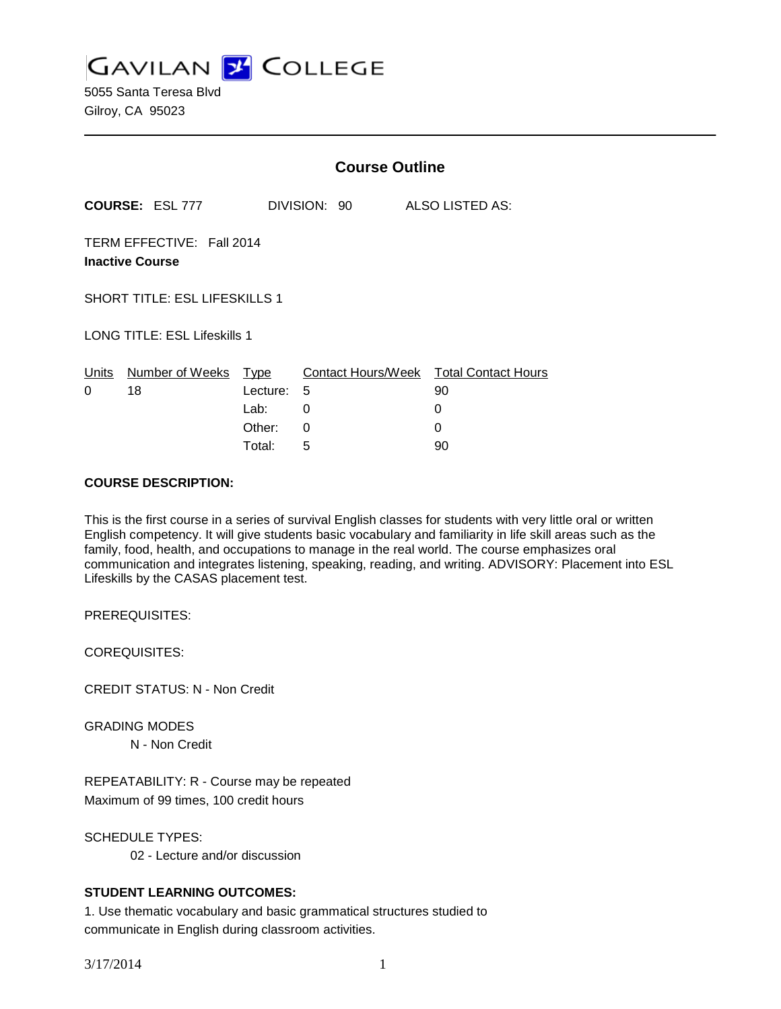**GAVILAN J COLLEGE** 

5055 Santa Teresa Blvd Gilroy, CA 95023

|                                                     |                        | <b>Course Outline</b>                     |                                   |                                            |  |
|-----------------------------------------------------|------------------------|-------------------------------------------|-----------------------------------|--------------------------------------------|--|
|                                                     | <b>COURSE: ESL 777</b> |                                           | DIVISION: 90                      | ALSO LISTED AS:                            |  |
| TERM EFFECTIVE: Fall 2014<br><b>Inactive Course</b> |                        |                                           |                                   |                                            |  |
| <b>SHORT TITLE: ESL LIFESKILLS 1</b>                |                        |                                           |                                   |                                            |  |
| <b>LONG TITLE: ESL Lifeskills 1</b>                 |                        |                                           |                                   |                                            |  |
| <u>Units</u><br>0                                   | Number of Weeks<br>18  | <u>Type</u><br>Lecture:<br>Lab:<br>Other: | Contact Hours/Week<br>5<br>0<br>0 | <b>Total Contact Hours</b><br>90<br>0<br>0 |  |
|                                                     |                        | Total:                                    | 5                                 | 90                                         |  |

## **COURSE DESCRIPTION:**

This is the first course in a series of survival English classes for students with very little oral or written English competency. It will give students basic vocabulary and familiarity in life skill areas such as the family, food, health, and occupations to manage in the real world. The course emphasizes oral communication and integrates listening, speaking, reading, and writing. ADVISORY: Placement into ESL Lifeskills by the CASAS placement test.

PREREQUISITES:

COREQUISITES:

CREDIT STATUS: N - Non Credit

GRADING MODES N - Non Credit

REPEATABILITY: R - Course may be repeated Maximum of 99 times, 100 credit hours

SCHEDULE TYPES: 02 - Lecture and/or discussion

# **STUDENT LEARNING OUTCOMES:**

1. Use thematic vocabulary and basic grammatical structures studied to communicate in English during classroom activities.

3/17/2014 1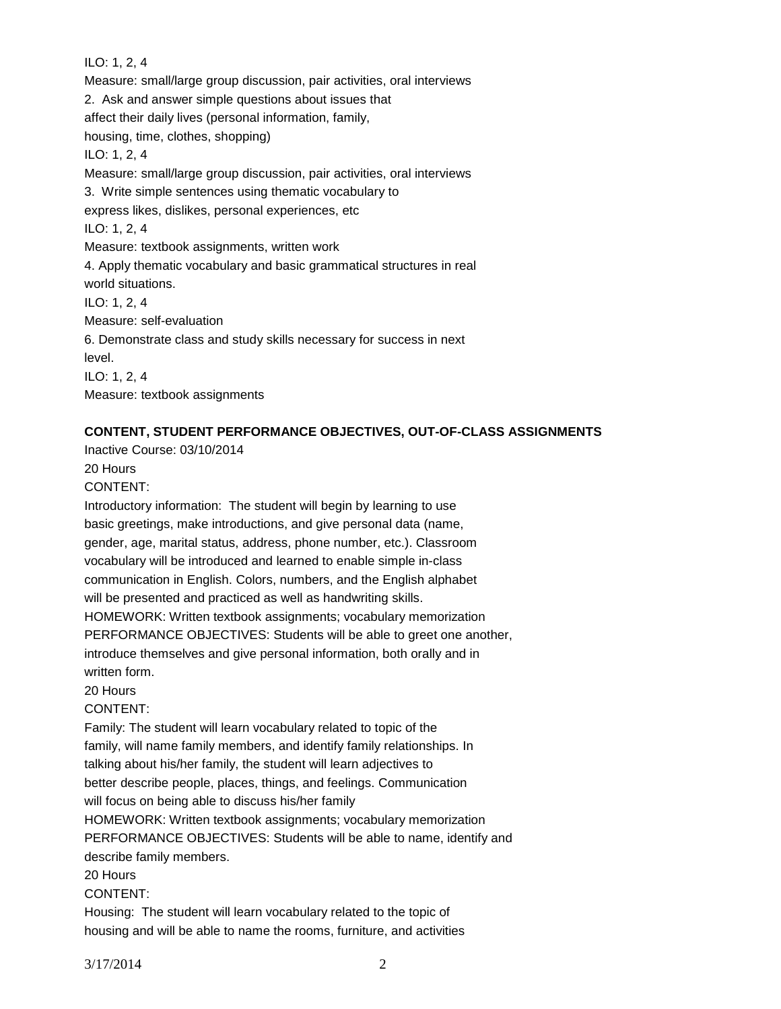ILO: 1, 2, 4 Measure: small/large group discussion, pair activities, oral interviews 2. Ask and answer simple questions about issues that affect their daily lives (personal information, family, housing, time, clothes, shopping) ILO: 1, 2, 4 Measure: small/large group discussion, pair activities, oral interviews 3. Write simple sentences using thematic vocabulary to express likes, dislikes, personal experiences, etc ILO: 1, 2, 4 Measure: textbook assignments, written work 4. Apply thematic vocabulary and basic grammatical structures in real world situations. ILO: 1, 2, 4 Measure: self-evaluation 6. Demonstrate class and study skills necessary for success in next level. ILO: 1, 2, 4 Measure: textbook assignments

## **CONTENT, STUDENT PERFORMANCE OBJECTIVES, OUT-OF-CLASS ASSIGNMENTS**

Inactive Course: 03/10/2014

20 Hours

#### CONTENT:

Introductory information: The student will begin by learning to use basic greetings, make introductions, and give personal data (name, gender, age, marital status, address, phone number, etc.). Classroom vocabulary will be introduced and learned to enable simple in-class communication in English. Colors, numbers, and the English alphabet will be presented and practiced as well as handwriting skills. HOMEWORK: Written textbook assignments; vocabulary memorization PERFORMANCE OBJECTIVES: Students will be able to greet one another, introduce themselves and give personal information, both orally and in written form.

20 Hours

#### CONTENT:

Family: The student will learn vocabulary related to topic of the family, will name family members, and identify family relationships. In talking about his/her family, the student will learn adjectives to better describe people, places, things, and feelings. Communication will focus on being able to discuss his/her family HOMEWORK: Written textbook assignments; vocabulary memorization

PERFORMANCE OBJECTIVES: Students will be able to name, identify and describe family members.

# 20 Hours

#### CONTENT:

Housing: The student will learn vocabulary related to the topic of housing and will be able to name the rooms, furniture, and activities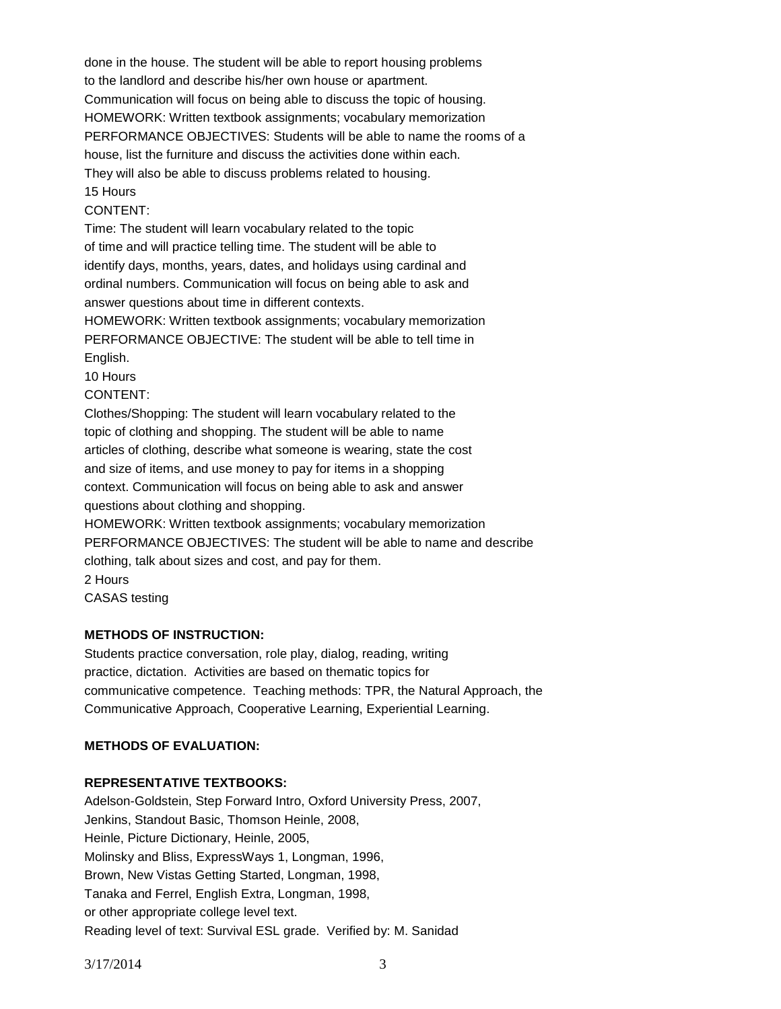done in the house. The student will be able to report housing problems to the landlord and describe his/her own house or apartment. Communication will focus on being able to discuss the topic of housing. HOMEWORK: Written textbook assignments; vocabulary memorization PERFORMANCE OBJECTIVES: Students will be able to name the rooms of a house, list the furniture and discuss the activities done within each. They will also be able to discuss problems related to housing. 15 Hours

## CONTENT:

Time: The student will learn vocabulary related to the topic of time and will practice telling time. The student will be able to identify days, months, years, dates, and holidays using cardinal and ordinal numbers. Communication will focus on being able to ask and answer questions about time in different contexts.

HOMEWORK: Written textbook assignments; vocabulary memorization PERFORMANCE OBJECTIVE: The student will be able to tell time in English.

10 Hours

CONTENT:

Clothes/Shopping: The student will learn vocabulary related to the topic of clothing and shopping. The student will be able to name articles of clothing, describe what someone is wearing, state the cost and size of items, and use money to pay for items in a shopping context. Communication will focus on being able to ask and answer questions about clothing and shopping. HOMEWORK: Written textbook assignments; vocabulary memorization PERFORMANCE OBJECTIVES: The student will be able to name and describe clothing, talk about sizes and cost, and pay for them. 2 Hours

CASAS testing

# **METHODS OF INSTRUCTION:**

Students practice conversation, role play, dialog, reading, writing practice, dictation. Activities are based on thematic topics for communicative competence. Teaching methods: TPR, the Natural Approach, the Communicative Approach, Cooperative Learning, Experiential Learning.

# **METHODS OF EVALUATION:**

# **REPRESENTATIVE TEXTBOOKS:**

Adelson-Goldstein, Step Forward Intro, Oxford University Press, 2007, Jenkins, Standout Basic, Thomson Heinle, 2008, Heinle, Picture Dictionary, Heinle, 2005, Molinsky and Bliss, ExpressWays 1, Longman, 1996, Brown, New Vistas Getting Started, Longman, 1998, Tanaka and Ferrel, English Extra, Longman, 1998, or other appropriate college level text. Reading level of text: Survival ESL grade. Verified by: M. Sanidad

3/17/2014 3